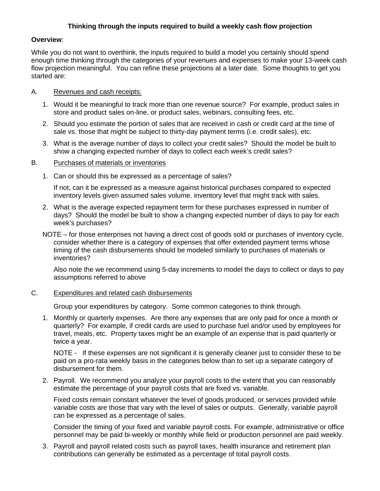## **Thinking through the inputs required to build a weekly cash flow projection**

### **Overview**:

While you do not want to overthink, the inputs required to build a model you certainly should spend enough time thinking through the categories of your revenues and expenses to make your 13-week cash flow projection meaningful. You can refine these projections at a later date. Some thoughts to get you started are:

## A. Revenues and cash receipts:

- 1. Would it be meaningful to track more than one revenue source? For example, product sales in store and product sales on-line, or product sales, webinars, consulting fees, etc.
- 2. Should you estimate the portion of sales that are received in cash or credit card at the time of sale vs. those that might be subject to thirty-day payment terms (i.e. credit sales), etc.
- 3. What is the average number of days to collect your credit sales? Should the model be built to show a changing expected number of days to collect each week's credit sales?

#### B. Purchases of materials or inventories

1. Can or should this be expressed as a percentage of sales?

If not, can it be expressed as a measure against historical purchases compared to expected inventory levels given assumed sales volume. inventory level that might track with sales.

- 2. What is the average expected repayment term for these purchases expressed in number of days? Should the model be built to show a changing expected number of days to pay for each week's purchases?
- NOTE for those enterprises not having a direct cost of goods sold or purchases of inventory cycle, consider whether there is a category of expenses that offer extended payment terms whose timing of the cash disbursements should be modeled similarly to purchases of materials or inventories?

Also note the we recommend using 5-day increments to model the days to collect or days to pay assumptions referred to above

#### C. Expenditures and related cash disbursements

Group your expenditures by category. Some common categories to think through.

1. Monthly or quarterly expenses. Are there any expenses that are only paid for once a month or quarterly? For example, if credit cards are used to purchase fuel and/or used by employees for travel, meals, etc. Property taxes might be an example of an expense that is paid quarterly or twice a year.

NOTE - If these expenses are not significant it is generally cleaner just to consider these to be paid on a pro-rata weekly basis in the categories below than to set up a separate category of disbursement for them.

2. Payroll. We recommend you analyze your payroll costs to the extent that you can reasonably estimate the percentage of your payroll costs that are fixed vs. variable.

Fixed costs remain constant whatever the level of goods produced, or services provided while variable costs are those that vary with the level of sales or outputs. Generally, variable payroll can be expressed as a percentage of sales.

Consider the timing of your fixed and variable payroll costs. For example, administrative or office personnel may be paid bi-weekly or monthly while field or production personnel are paid weekly.

3. Payroll and payroll related costs such as payroll taxes, health insurance and retirement plan contributions can generally be estimated as a percentage of total payroll costs.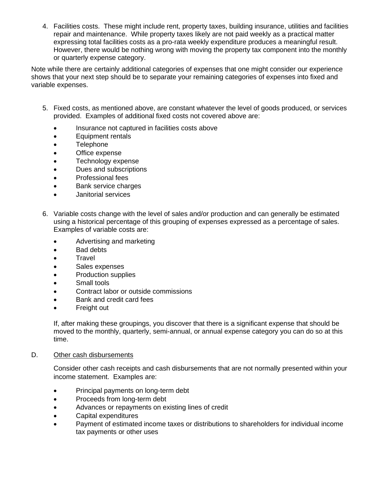4. Facilities costs. These might include rent, property taxes, building insurance, utilities and facilities repair and maintenance. While property taxes likely are not paid weekly as a practical matter expressing total facilities costs as a pro-rata weekly expenditure produces a meaningful result. However, there would be nothing wrong with moving the property tax component into the monthly or quarterly expense category.

Note while there are certainly additional categories of expenses that one might consider our experience shows that your next step should be to separate your remaining categories of expenses into fixed and variable expenses.

- 5. Fixed costs, as mentioned above, are constant whatever the level of goods produced, or services provided. Examples of additional fixed costs not covered above are:
	- Insurance not captured in facilities costs above
	- Equipment rentals
	- Telephone
	- Office expense
	- Technology expense
	- Dues and subscriptions
	- Professional fees
	- Bank service charges
	- Janitorial services
- 6. Variable costs change with the level of sales and/or production and can generally be estimated using a historical percentage of this grouping of expenses expressed as a percentage of sales. Examples of variable costs are:
	- Advertising and marketing
	- Bad debts
	- Travel
	- Sales expenses
	- Production supplies
	- Small tools
	- Contract labor or outside commissions
	- Bank and credit card fees
	- Freight out

If, after making these groupings, you discover that there is a significant expense that should be moved to the monthly, quarterly, semi-annual, or annual expense category you can do so at this time.

D. Other cash disbursements

Consider other cash receipts and cash disbursements that are not normally presented within your income statement. Examples are:

- Principal payments on long-term debt
- Proceeds from long-term debt
- Advances or repayments on existing lines of credit
- Capital expenditures
- Payment of estimated income taxes or distributions to shareholders for individual income tax payments or other uses